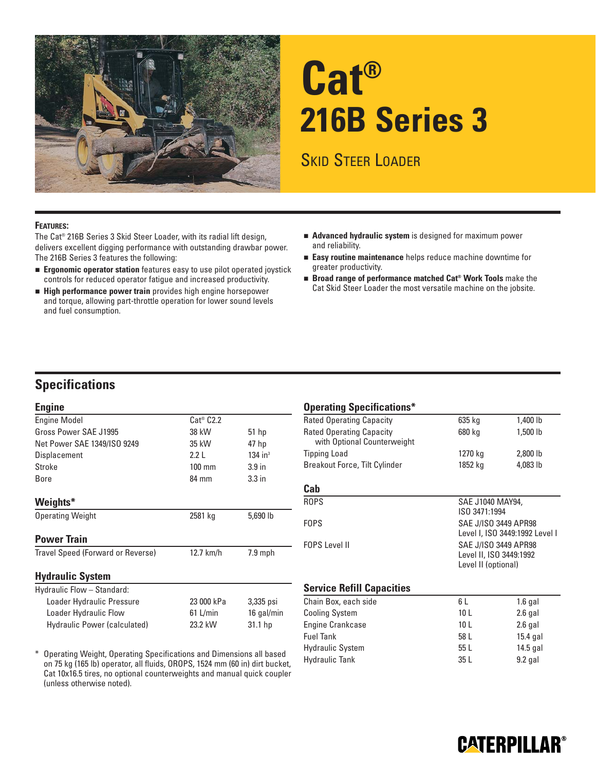

# **Cat® 216B Series 3**

## SKID STEER LOADER

#### **FEATURES:**

The Cat® 216B Series 3 Skid Steer Loader, with its radial lift design, delivers excellent digging performance with outstanding drawbar power. The 216B Series 3 features the following:

- **Ergonomic operator station** features easy to use pilot operated joystick controls for reduced operator fatigue and increased productivity.
- **High performance power train** provides high engine horsepower and torque, allowing part-throttle operation for lower sound levels and fuel consumption.
- **Advanced hydraulic system** is designed for maximum power and reliability.
- **Easy routine maintenance** helps reduce machine downtime for greater productivity.
- Broad range of performance matched Cat® Work Tools make the Cat Skid Steer Loader the most versatile machine on the jobsite.

### **Specifications**

#### **Engine**

| <b>Engine Model</b>               | $Cat^{\circledast}$ $C2.2$ |                       |
|-----------------------------------|----------------------------|-----------------------|
| Gross Power SAE J1995             | 38 kW                      | $51$ hp               |
| Net Power SAE 1349/ISO 9249       | 35 kW                      | 47 hp                 |
| Displacement                      | 2.2 L                      | $134$ in <sup>3</sup> |
| Stroke                            | $100 \text{ mm}$           | 3.9 <sub>in</sub>     |
| Bore                              | 84 mm                      | 3.3 <sub>in</sub>     |
| Weights*                          |                            |                       |
| <b>Operating Weight</b>           | 2581 kg                    | 5,690 lb              |
| <b>Power Train</b>                |                            |                       |
| Travel Speed (Forward or Reverse) | 12.7 km/h                  | $7.9$ mph             |
| <b>Hydraulic System</b>           |                            |                       |
| Hydraulic Flow - Standard:        |                            |                       |
| Loader Hydraulic Pressure         | 23 000 kPa                 | 3,335 psi             |
| Loader Hydraulic Flow             | 61 L/min                   | 16 gal/min            |

\* Operating Weight, Operating Specifications and Dimensions all based on 75 kg (165 lb) operator, all fluids, OROPS, 1524 mm (60 in) dirt bucket, Cat 10x16.5 tires, no optional counterweights and manual quick coupler (unless otherwise noted).

Hydraulic Power (calculated) 23.2 kW 31.1 hp

#### **Operating Specifications\***

| <b>Rated Operating Capacity</b>                                | 635 kg  | 1,400 lb |
|----------------------------------------------------------------|---------|----------|
| <b>Rated Operating Capacity</b><br>with Optional Counterweight | 680 kg  | 1,500 lb |
| <b>Tipping Load</b>                                            | 1270 kg | 2,800 lb |
| <b>Breakout Force, Tilt Cylinder</b>                           | 1852 kg | 4,083 lb |
|                                                                |         |          |

#### **Cab**

| ROPS          | SAE J1040 MAY94.<br>ISO 3471:1994                                      |
|---------------|------------------------------------------------------------------------|
| FOPS.         | SAE J/ISO 3449 APR98<br>Level I, ISO 3449:1992 Level I                 |
| FOPS Level II | SAE J/ISO 3449 APR98<br>Level II, ISO 3449:1992<br>Level II (optional) |

#### **Service Refill Capacities**

| Chain Box, each side    | 6 L             | $1.6$ gal  |
|-------------------------|-----------------|------------|
| <b>Cooling System</b>   | 10 <sub>L</sub> | $2.6$ gal  |
| <b>Engine Crankcase</b> | 10 L            | $2.6$ gal  |
| <b>Fuel Tank</b>        | 58 L            | $15.4$ gal |
| <b>Hydraulic System</b> | 55L             | $14.5$ gal |
| <b>Hydraulic Tank</b>   | 35 L            | $9.2$ gal  |